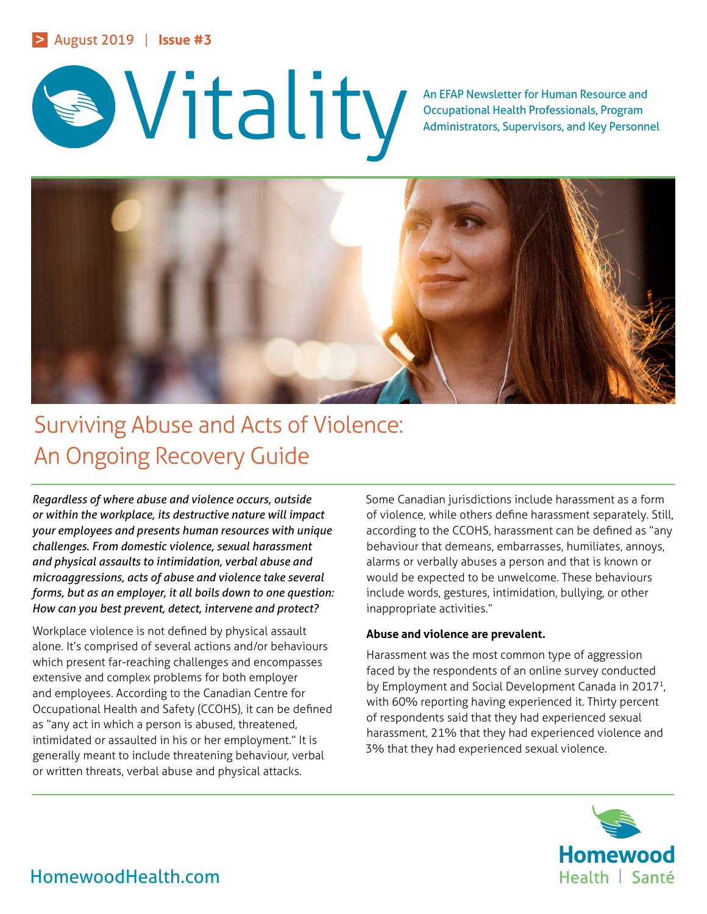

Occupational Health Professionals, Program Administrators, Supervisors, and Key Personnel



# Surviving Abuse and Acts of Violence: An Ongoing Recovery Guide

*Regardless of where abuse and violence occurs, outside or within the workplace, its destructive nature will impact your employees and presents human resources with unique challenges. From domestic violence, sexual harassment and physical assaults to intimidation, verbal abuse and microaggressions, acts of abuse and violence take several forms, but as an employer, it all boils down to one question: How can you best prevent, detect, intervene and protect?*

Workplace violence is not defined by physical assault alone. It's comprised of several actions and/or behaviours which present far-reaching challenges and encompasses extensive and complex problems for both employer and employees. According to the Canadian Centre for Occupational Health and Safety (CCOHS), it can be defined as "any act in which a person is abused, threatened, intimidated or assaulted in his or her employment." It is generally meant to include threatening behaviour, verbal or written threats, verbal abuse and physical attacks.

Some Canadian jurisdictions include harassment as a form of violence, while others define harassment separately. Still, according to the CCOHS, harassment can be defined as "any behaviour that demeans, embarrasses, humiliates, annoys, alarms or verbally abuses a person and that is known or would be expected to be unwelcome. These behaviours include words, gestures, intimidation, bullying, or other inappropriate activities."

### **Abuse and violence are prevalent.**

Harassment was the most common type of aggression faced by the respondents of an online survey conducted by Employment and Social Development Canada in 2017<sup>1</sup>, with 60% reporting having experienced it. Thirty percent of respondents said that they had experienced sexual harassment, 21% that they had experienced violence and 3% that they had experienced sexual violence.

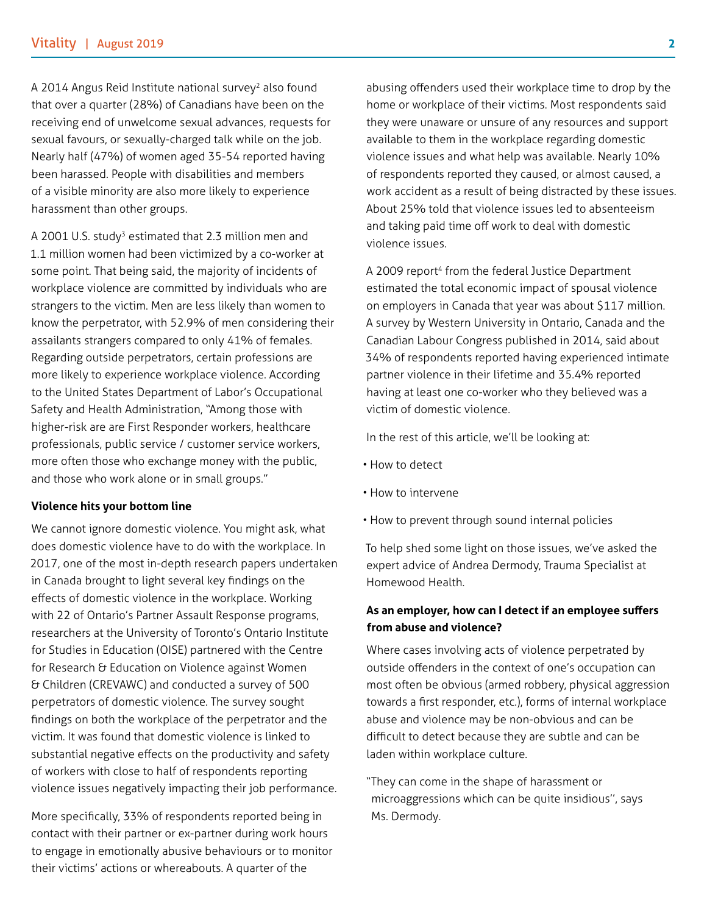A 2014 Angus Reid Institute national survey<sup>2</sup> also found that over a quarter (28%) of Canadians have been on the receiving end of unwelcome sexual advances, requests for sexual favours, or sexually-charged talk while on the job. Nearly half (47%) of women aged 35-54 reported having been harassed. People with disabilities and members of a visible minority are also more likely to experience harassment than other groups.

A 2001 U.S. study<sup>3</sup> estimated that 2.3 million men and 1.1 million women had been victimized by a co-worker at some point. That being said, the majority of incidents of workplace violence are committed by individuals who are strangers to the victim. Men are less likely than women to know the perpetrator, with 52.9% of men considering their assailants strangers compared to only 41% of females. Regarding outside perpetrators, certain professions are more likely to experience workplace violence. According to the United States Department of Labor's Occupational Safety and Health Administration, "Among those with higher-risk are are First Responder workers, healthcare professionals, public service / customer service workers, more often those who exchange money with the public, and those who work alone or in small groups."

#### **Violence hits your bottom line**

We cannot ignore domestic violence. You might ask, what does domestic violence have to do with the workplace. In 2017, one of the most in-depth research papers undertaken in Canada brought to light several key findings on the effects of domestic violence in the workplace. Working with 22 of Ontario's Partner Assault Response programs, researchers at the University of Toronto's Ontario Institute for Studies in Education (OISE) partnered with the Centre for Research & Education on Violence against Women & Children (CREVAWC) and conducted a survey of 500 perpetrators of domestic violence. The survey sought findings on both the workplace of the perpetrator and the victim. It was found that domestic violence is linked to substantial negative effects on the productivity and safety of workers with close to half of respondents reporting violence issues negatively impacting their job performance.

More specifically, 33% of respondents reported being in contact with their partner or ex-partner during work hours to engage in emotionally abusive behaviours or to monitor their victims' actions or whereabouts. A quarter of the

abusing offenders used their workplace time to drop by the home or workplace of their victims. Most respondents said they were unaware or unsure of any resources and support available to them in the workplace regarding domestic violence issues and what help was available. Nearly 10% of respondents reported they caused, or almost caused, a work accident as a result of being distracted by these issues. About 25% told that violence issues led to absenteeism and taking paid time off work to deal with domestic violence issues.

A 2009 report<sup>4</sup> from the federal Justice Department estimated the total economic impact of spousal violence on employers in Canada that year was about \$117 million. A survey by Western University in Ontario, Canada and the Canadian Labour Congress published in 2014, said about 34% of respondents reported having experienced intimate partner violence in their lifetime and 35.4% reported having at least one co-worker who they believed was a victim of domestic violence.

In the rest of this article, we'll be looking at:

- How to detect
- How to intervene
- How to prevent through sound internal policies

To help shed some light on those issues, we've asked the expert advice of Andrea Dermody, Trauma Specialist at Homewood Health.

## **As an employer, how can I detect if an employee suffers from abuse and violence?**

Where cases involving acts of violence perpetrated by outside offenders in the context of one's occupation can most often be obvious (armed robbery, physical aggression towards a first responder, etc.), forms of internal workplace abuse and violence may be non-obvious and can be difficult to detect because they are subtle and can be laden within workplace culture.

"They can come in the shape of harassment or microaggressions which can be quite insidious'', says Ms. Dermody.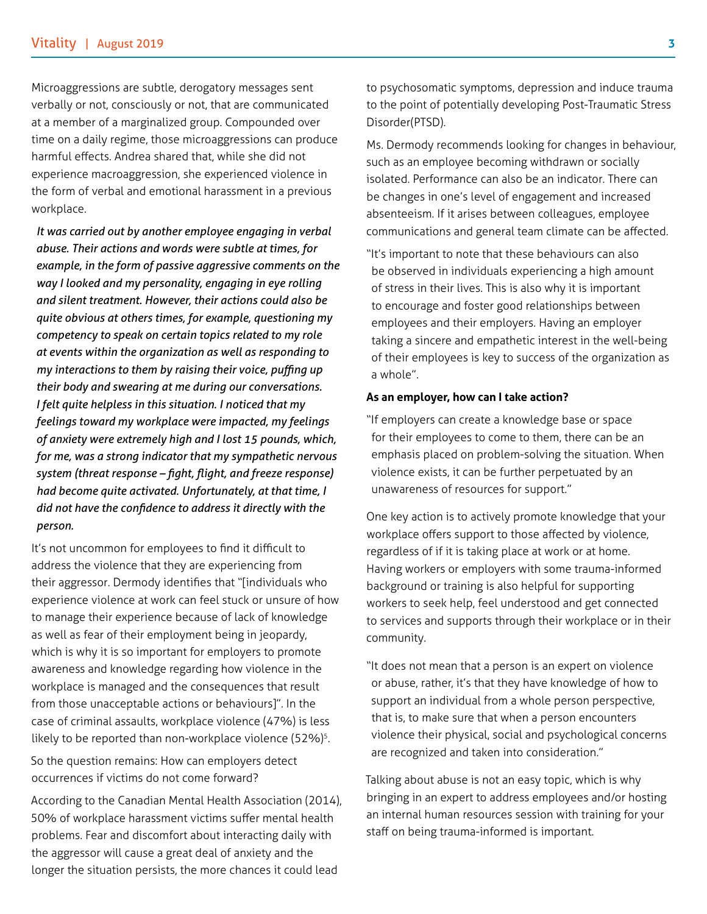Microaggressions are subtle, derogatory messages sent verbally or not, consciously or not, that are communicated at a member of a marginalized group. Compounded over time on a daily regime, those microaggressions can produce harmful effects. Andrea shared that, while she did not experience macroaggression, she experienced violence in the form of verbal and emotional harassment in a previous workplace.

 *It was carried out by another employee engaging in verbal abuse. Their actions and words were subtle at times, for example, in the form of passive aggressive comments on the way I looked and my personality, engaging in eye rolling and silent treatment. However, their actions could also be quite obvious at others times, for example, questioning my competency to speak on certain topics related to my role at events within the organization as well as responding to my interactions to them by raising their voice, puffing up their body and swearing at me during our conversations. I felt quite helpless in this situation. I noticed that my feelings toward my workplace were impacted, my feelings of anxiety were extremely high and I lost 15 pounds, which, for me, was a strong indicator that my sympathetic nervous system (threat response – fight, flight, and freeze response) had become quite activated. Unfortunately, at that time, I did not have the confidence to address it directly with the person.*

It's not uncommon for employees to find it difficult to address the violence that they are experiencing from their aggressor. Dermody identifies that "[individuals who experience violence at work can feel stuck or unsure of how to manage their experience because of lack of knowledge as well as fear of their employment being in jeopardy, which is why it is so important for employers to promote awareness and knowledge regarding how violence in the workplace is managed and the consequences that result from those unacceptable actions or behaviours]". In the case of criminal assaults, workplace violence (47%) is less likely to be reported than non-workplace violence (52%)<sup>5</sup>.

So the question remains: How can employers detect occurrences if victims do not come forward?

According to the Canadian Mental Health Association (2014), 50% of workplace harassment victims suffer mental health problems. Fear and discomfort about interacting daily with the aggressor will cause a great deal of anxiety and the longer the situation persists, the more chances it could lead

to psychosomatic symptoms, depression and induce trauma to the point of potentially developing Post-Traumatic Stress Disorder(PTSD).

Ms. Dermody recommends looking for changes in behaviour, such as an employee becoming withdrawn or socially isolated. Performance can also be an indicator. There can be changes in one's level of engagement and increased absenteeism. If it arises between colleagues, employee communications and general team climate can be affected.

"It's important to note that these behaviours can also be observed in individuals experiencing a high amount of stress in their lives. This is also why it is important to encourage and foster good relationships between employees and their employers. Having an employer taking a sincere and empathetic interest in the well-being of their employees is key to success of the organization as a whole".

#### **As an employer, how can I take action?**

"If employers can create a knowledge base or space for their employees to come to them, there can be an emphasis placed on problem-solving the situation. When violence exists, it can be further perpetuated by an unawareness of resources for support."

One key action is to actively promote knowledge that your workplace offers support to those affected by violence, regardless of if it is taking place at work or at home. Having workers or employers with some trauma-informed background or training is also helpful for supporting workers to seek help, feel understood and get connected to services and supports through their workplace or in their community.

"It does not mean that a person is an expert on violence or abuse, rather, it's that they have knowledge of how to support an individual from a whole person perspective, that is, to make sure that when a person encounters violence their physical, social and psychological concerns are recognized and taken into consideration."

Talking about abuse is not an easy topic, which is why bringing in an expert to address employees and/or hosting an internal human resources session with training for your staff on being trauma-informed is important.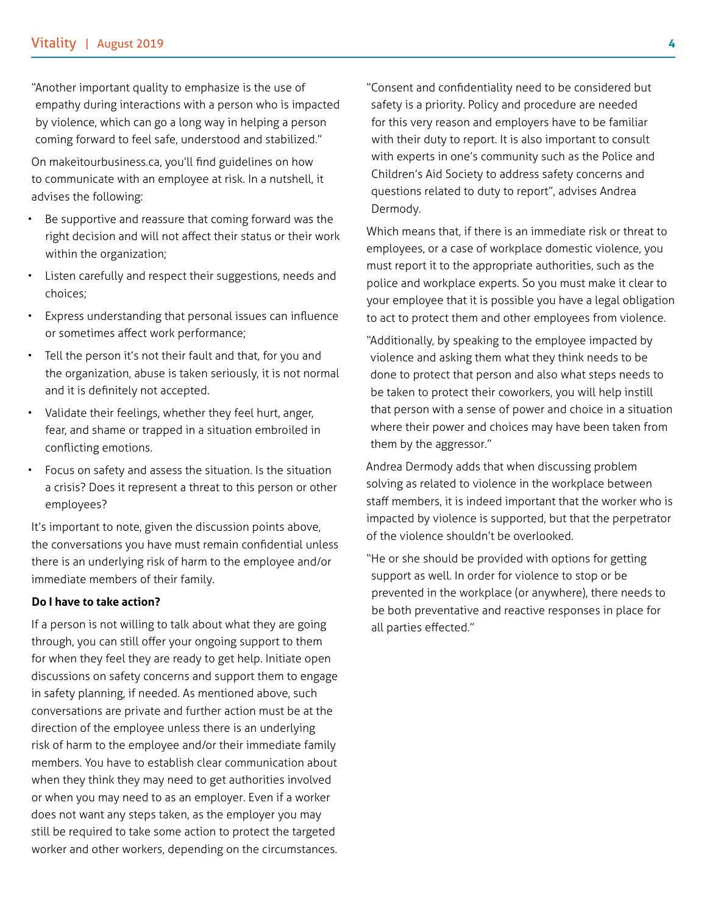"Another important quality to emphasize is the use of empathy during interactions with a person who is impacted by violence, which can go a long way in helping a person coming forward to feel safe, understood and stabilized."

On makeitourbusiness.ca, you'll find guidelines on how to communicate with an employee at risk. In a nutshell, it advises the following:

- Be supportive and reassure that coming forward was the right decision and will not affect their status or their work within the organization;
- Listen carefully and respect their suggestions, needs and choices;
- Express understanding that personal issues can influence or sometimes affect work performance;
- Tell the person it's not their fault and that, for you and the organization, abuse is taken seriously, it is not normal and it is definitely not accepted.
- Validate their feelings, whether they feel hurt, anger, fear, and shame or trapped in a situation embroiled in conflicting emotions.
- Focus on safety and assess the situation. Is the situation a crisis? Does it represent a threat to this person or other employees?

It's important to note, given the discussion points above, the conversations you have must remain confidential unless there is an underlying risk of harm to the employee and/or immediate members of their family.

#### **Do I have to take action?**

If a person is not willing to talk about what they are going through, you can still offer your ongoing support to them for when they feel they are ready to get help. Initiate open discussions on safety concerns and support them to engage in safety planning, if needed. As mentioned above, such conversations are private and further action must be at the direction of the employee unless there is an underlying risk of harm to the employee and/or their immediate family members. You have to establish clear communication about when they think they may need to get authorities involved or when you may need to as an employer. Even if a worker does not want any steps taken, as the employer you may still be required to take some action to protect the targeted worker and other workers, depending on the circumstances.

"Consent and confidentiality need to be considered but safety is a priority. Policy and procedure are needed for this very reason and employers have to be familiar with their duty to report. It is also important to consult with experts in one's community such as the Police and Children's Aid Society to address safety concerns and questions related to duty to report", advises Andrea Dermody.

Which means that, if there is an immediate risk or threat to employees, or a case of workplace domestic violence, you must report it to the appropriate authorities, such as the police and workplace experts. So you must make it clear to your employee that it is possible you have a legal obligation to act to protect them and other employees from violence.

"Additionally, by speaking to the employee impacted by violence and asking them what they think needs to be done to protect that person and also what steps needs to be taken to protect their coworkers, you will help instill that person with a sense of power and choice in a situation where their power and choices may have been taken from them by the aggressor."

Andrea Dermody adds that when discussing problem solving as related to violence in the workplace between staff members, it is indeed important that the worker who is impacted by violence is supported, but that the perpetrator of the violence shouldn't be overlooked.

"He or she should be provided with options for getting support as well. In order for violence to stop or be prevented in the workplace (or anywhere), there needs to be both preventative and reactive responses in place for all parties effected."